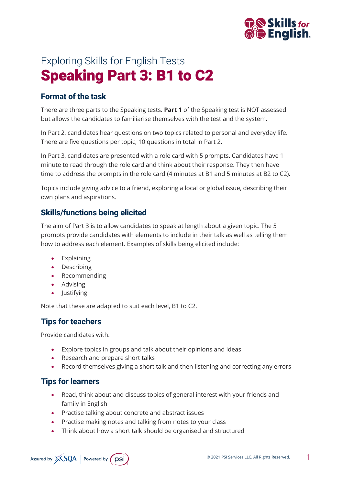

# Exploring Skills for English Tests Speaking Part 3: B1 to C2

## **Format of the task**

There are three parts to the Speaking tests. **Part 1** of the Speaking test is NOT assessed but allows the candidates to familiarise themselves with the test and the system.

In Part 2, candidates hear questions on two topics related to personal and everyday life. There are five questions per topic, 10 questions in total in Part 2.

In Part 3, candidates are presented with a role card with 5 prompts. Candidates have 1 minute to read through the role card and think about their response. They then have time to address the prompts in the role card (4 minutes at B1 and 5 minutes at B2 to C2).

Topics include giving advice to a friend, exploring a local or global issue, describing their own plans and aspirations.

#### **Skills/functions being elicited**

The aim of Part 3 is to allow candidates to speak at length about a given topic. The 5 prompts provide candidates with elements to include in their talk as well as telling them how to address each element. Examples of skills being elicited include:

- Explaining
- Describing
- Recommending
- Advising
- Justifying

Note that these are adapted to suit each level, B1 to C2.

# **Tips for teachers**

Provide candidates with:

- Explore topics in groups and talk about their opinions and ideas
- Research and prepare short talks
- Record themselves giving a short talk and then listening and correcting any errors

#### **Tips for learners**

- Read, think about and discuss topics of general interest with your friends and family in English
- Practise talking about concrete and abstract issues
- Practise making notes and talking from notes to your class
- Think about how a short talk should be organised and structured